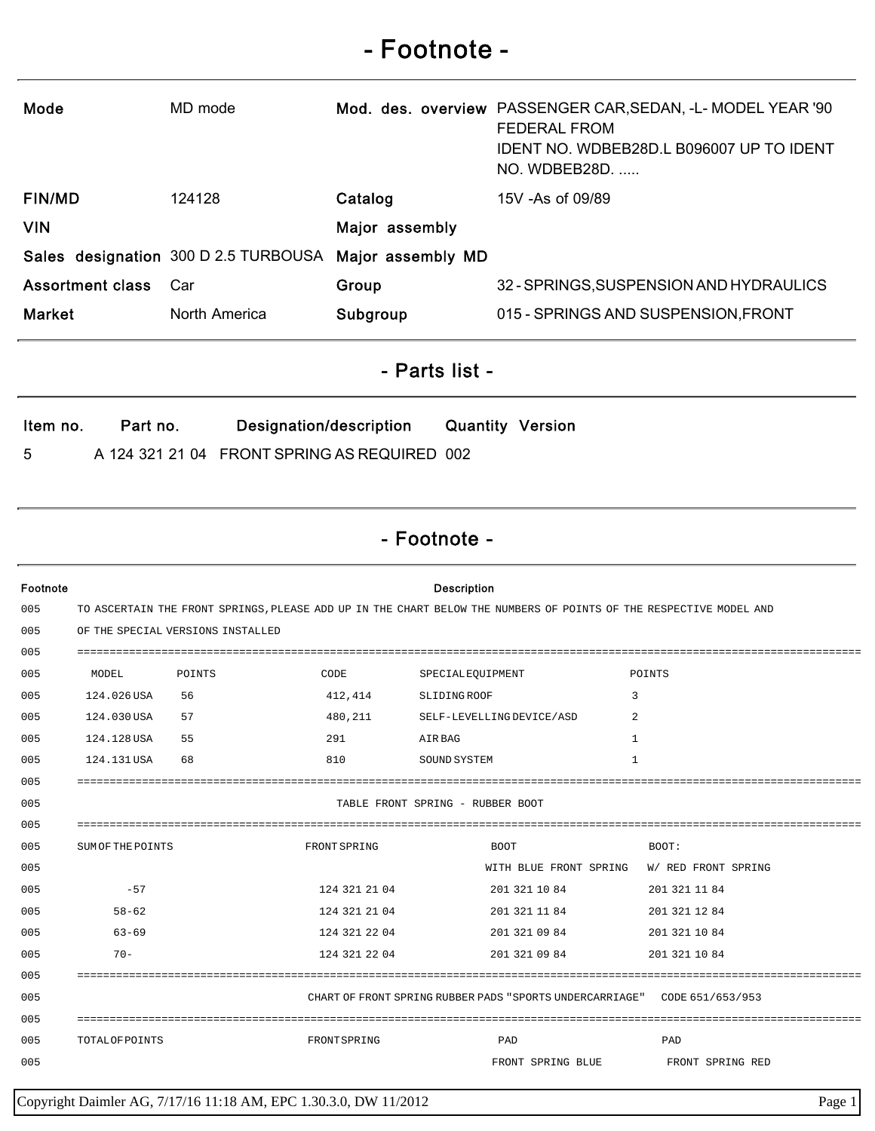## - Footnote -

| Mode                    | MD mode                              |                   | Mod. des. overview PASSENGER CAR, SEDAN, -L- MODEL YEAR '90<br><b>FEDERAL FROM</b><br>IDENT NO. WDBEB28D.L B096007 UP TO IDENT<br>NO. WDBEB28D. |
|-------------------------|--------------------------------------|-------------------|-------------------------------------------------------------------------------------------------------------------------------------------------|
| <b>FIN/MD</b>           | 124128                               | Catalog           | $15V - As$ of 09/89                                                                                                                             |
| <b>VIN</b>              |                                      | Major assembly    |                                                                                                                                                 |
|                         | Sales designation 300 D 2.5 TURBOUSA | Major assembly MD |                                                                                                                                                 |
| <b>Assortment class</b> | Car                                  | Group             | 32 - SPRINGS, SUSPENSION AND HYDRAULICS                                                                                                         |
| <b>Market</b>           | North America                        | Subgroup          | 015 - SPRINGS AND SUSPENSION, FRONT                                                                                                             |

## - Parts list -

| ltem no. | Part no. | Designation/description                      | <b>Quantity Version</b> |  |
|----------|----------|----------------------------------------------|-------------------------|--|
| -5       |          | A 124 321 21 04 FRONT SPRING AS REQUIRED 002 |                         |  |

## - Footnote -

| Footnote |                                                                                                                    |                                   |               | <b>Description</b>                                                        |                     |
|----------|--------------------------------------------------------------------------------------------------------------------|-----------------------------------|---------------|---------------------------------------------------------------------------|---------------------|
| 005      | TO ASCERTAIN THE FRONT SPRINGS, PLEASE ADD UP IN THE CHART BELOW THE NUMBERS OF POINTS OF THE RESPECTIVE MODEL AND |                                   |               |                                                                           |                     |
| 005      |                                                                                                                    | OF THE SPECIAL VERSIONS INSTALLED |               |                                                                           |                     |
| 005      |                                                                                                                    |                                   |               |                                                                           |                     |
| 005      | MODEL                                                                                                              | POINTS                            | CODE          | SPECIALEQUIPMENT                                                          | POINTS              |
| 005      | 124.026 USA                                                                                                        | 56                                | 412,414       | SLIDING ROOF                                                              | 3                   |
| 005      | 124.030 USA                                                                                                        | 57                                | 480,211       | SELF-LEVELLING DEVICE/ASD                                                 | 2                   |
| 005      | 124.128 USA                                                                                                        | 55                                | 291           | AIR BAG                                                                   | 1                   |
| 005      | 124.131USA                                                                                                         | 68                                | 810           | SOUND SYSTEM                                                              | $\mathbf{1}$        |
| 005      |                                                                                                                    |                                   |               |                                                                           |                     |
| 005      |                                                                                                                    |                                   |               | TABLE FRONT SPRING - RUBBER BOOT                                          |                     |
| 005      |                                                                                                                    |                                   |               |                                                                           |                     |
| 005      | SUM OF THE POINTS                                                                                                  |                                   | FRONT SPRING  | <b>BOOT</b>                                                               | BOOT:               |
| 005      |                                                                                                                    |                                   |               | WITH BLUE FRONT SPRING                                                    | W/ RED FRONT SPRING |
| 005      | $-57$                                                                                                              |                                   | 124 321 21 04 | 201 321 10 84                                                             | 201 321 11 84       |
| 005      | $58 - 62$                                                                                                          |                                   | 124 321 21 04 | 201 321 11 84                                                             | 201 321 12 84       |
| 005      | $63 - 69$                                                                                                          |                                   | 124 321 22 04 | 201 321 09 84                                                             | 201 321 10 84       |
| 005      | $70 -$                                                                                                             |                                   | 124 321 22 04 | 201 321 09 84                                                             | 201 321 10 84       |
| 005      |                                                                                                                    |                                   |               |                                                                           |                     |
| 005      |                                                                                                                    |                                   |               | CHART OF FRONT SPRING RUBBER PADS "SPORTS UNDERCARRIAGE" CODE 651/653/953 |                     |
| 005      |                                                                                                                    |                                   |               |                                                                           |                     |
| 005      | <b>TOTALOF POINTS</b>                                                                                              |                                   | FRONTSPRING   | PAD                                                                       | PAD                 |
| 005      |                                                                                                                    |                                   |               | FRONT SPRING BLUE                                                         | FRONT SPRING RED    |

Copyright Daimler AG, 7/17/16 11:18 AM, EPC 1.30.3.0, DW 11/2012 Page 1